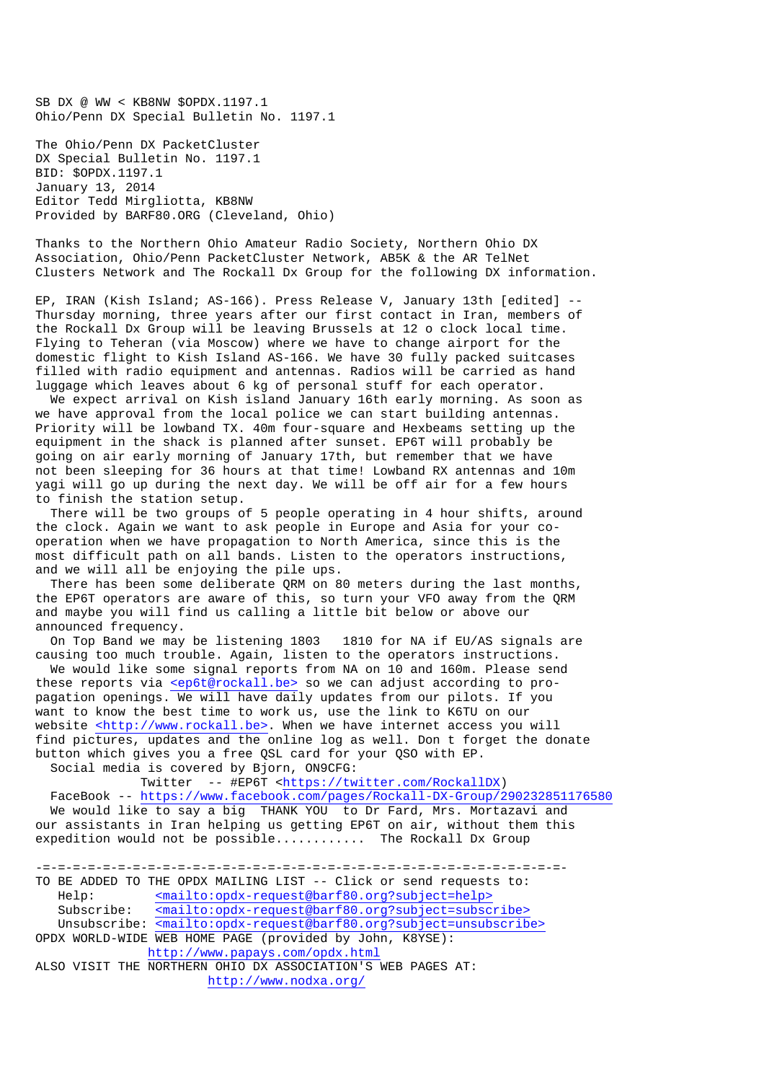SB DX @ WW < KB8NW \$OPDX.1197.1 Ohio/Penn DX Special Bulletin No. 1197.1

The Ohio/Penn DX PacketCluster DX Special Bulletin No. 1197.1 BID: \$OPDX.1197.1 January 13, 2014 Editor Tedd Mirgliotta, KB8NW Provided by BARF80.ORG (Cleveland, Ohio)

Thanks to the Northern Ohio Amateur Radio Society, Northern Ohio DX Association, Ohio/Penn PacketCluster Network, AB5K & the AR TelNet Clusters Network and The Rockall Dx Group for the following DX information.

EP, IRAN (Kish Island; AS-166). Press Release V, January 13th [edited] -- Thursday morning, three years after our first contact in Iran, members of the Rockall Dx Group will be leaving Brussels at 12 o clock local time. Flying to Teheran (via Moscow) where we have to change airport for the domestic flight to Kish Island AS-166. We have 30 fully packed suitcases filled with radio equipment and antennas. Radios will be carried as hand luggage which leaves about 6 kg of personal stuff for each operator.

 We expect arrival on Kish island January 16th early morning. As soon as we have approval from the local police we can start building antennas. Priority will be lowband TX. 40m four-square and Hexbeams setting up the equipment in the shack is planned after sunset. EP6T will probably be going on air early morning of January 17th, but remember that we have not been sleeping for 36 hours at that time! Lowband RX antennas and 10m yagi will go up during the next day. We will be off air for a few hours to finish the station setup.

 There will be two groups of 5 people operating in 4 hour shifts, around the clock. Again we want to ask people in Europe and Asia for your cooperation when we have propagation to North America, since this is the most difficult path on all bands. Listen to the operators instructions, and we will all be enjoying the pile ups.

 There has been some deliberate QRM on 80 meters during the last months, the EP6T operators are aware of this, so turn your VFO away from the QRM and maybe you will find us calling a little bit below or above our announced frequency.

 On Top Band we may be listening 1803 1810 for NA if EU/AS signals are causing too much trouble. Again, listen to the operators instructions.

 We would like some signal reports from NA on 10 and 160m. Please send these reports via <ep6t@rockall.be> so we can adjust according to propagation openings. We will have daily updates from our pilots. If you want to know the best time to work us, use the link to K6TU on our website <http://www.rockall.be>. When we have internet access you will find pictures, updates and the online log as well. Don t forget the donate button which gives you a free QSL card for your QSO with EP. Social media is covered by Bjorn, ON9CFG:

Twitter -- #EP6T <https://twitter.com/RockallDX)

 FaceBook -- https://www.facebook.com/pages/Rockall-DX-Group/290232851176580 We would like to say a big THANK YOU to Dr Fard, Mrs. Mortazavi and our assistants in Iran helping us getting EP6T on air, without them this expedition would not be possible............ The Rockall Dx Group

-=-=-=-=-=-=-=-=-=-=-=-=-=-=-=-=-=-=-=-=-=-=-=-=-=-=-=-=-=-=-=-=-=-=-=- TO BE ADDED TO THE OPDX MAILING LIST -- Click or send requests to: Help: <mailto:opdx-request@barf80.org?subject=help> Subscribe: <mailto:opdx-request@barf80.org?subject=subscribe> Unsubscribe: <mailto:opdx-request@barf80.org?subject=unsubscribe> OPDX WORLD-WIDE WEB HOME PAGE (provided by John, K8YSE): http://www.papays.com/opdx.html ALSO VISIT THE NORTHERN OHIO DX ASSOCIATION'S WEB PAGES AT: http://www.nodxa.org/